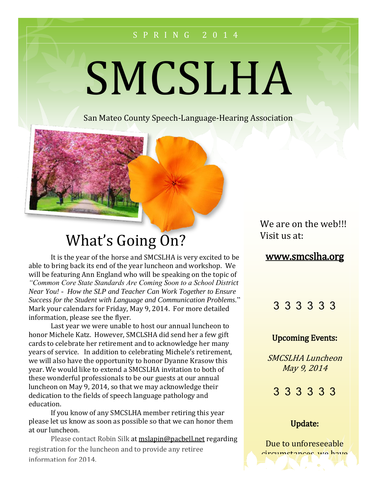#### S P R I N G 2 0 1 4

# SMCSLHA

San Mateo County Speech-Language-Hearing Association



# What's Going On?

It is the year of the horse and SMCSLHA is very excited to be able to bring back its end of the year luncheon and workshop. We will be featuring Ann England who will be speaking on the topic of *"Common Core State Standards Are Coming Soon to a School District Near You! - How the SLP and Teacher Can Work Together to Ensure Success for the Student with Language and Communication Problems.*" Mark your calendars for Friday, May 9, 2014. For more detailed information, please see the flyer.

Last year we were unable to host our annual luncheon to honor Michele Katz. However, SMCLSHA did send her a few gift cards to celebrate her retirement and to acknowledge her many years of service. In addition to celebrating Michele's retirement, we will also have the opportunity to honor Dyanne Krasow this year. We would like to extend a SMCSLHA invitation to both of these wonderful professionals to be our guests at our annual luncheon on May 9, 2014, so that we may acknowledge their dedication to the fields of speech language pathology and education.

If you know of any SMCSLHA member retiring this year please let us know as soon as possible so that we can honor them at our luncheon.

Please contact Robin Silk at mslapin@pacbell.net regarding registration for the luncheon and to provide any retiree information for 2014.

We are on the web!!! Visit us at:

#### www.smcslha.org

#### 3 3 3 3 3 3

#### Upcoming Events:

SMCSLHA Luncheon May 9, 2014

3 3 3 3 3 3

#### Update:

Due to unforeseeable circumstances, we have

cancelled our April 4th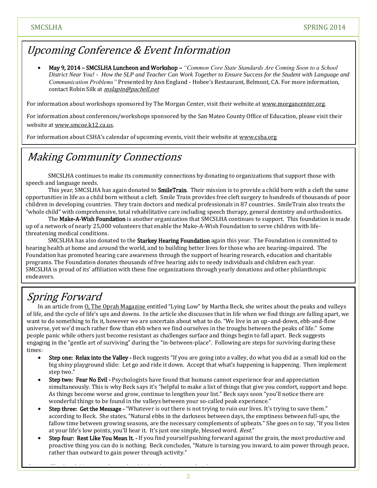### Upcoming Conference & Event Information

 May 9, 2014 – SMCSLHA Luncheon and Workshop – *"Common Core State Standards Are Coming Soon to a School District Near You! - How the SLP and Teacher Can Work Together to Ensure Success for the Student with Language and Communication Problems"* Presented by Ann England - Hobee's Restaurant, Belmont, CA. For more information, contact Robin Silk at *mslapin@pacbell.net* 

For information about workshops sponsored by The Morgan Center, visit their website at www.morgancenter.org.

For information about conferences/workshops sponsored by the San Mateo County Office of Education, please visit their website at www.smcoe.k12.ca.us.

For information about CSHA's calendar of upcoming events, visit their website at www.csha.org

#### Making Community Connections

SMCSLHA continues to make its community connections by donating to organizations that support those with speech and language needs.

This year, SMCSLHA has again donated to **SmileTrain**. Their mission is to provide a child born with a cleft the same opportunities in life as a child born without a cleft. Smile Train provides free cleft surgery to hundreds of thousands of poor children in developing countries. They train doctors and medical professionals in 87 countries. SmileTrain also treats the "whole child" with comprehensive, total rehabilitative care including speech therapy, general dentistry and orthodontics.

The Make-A-Wish Foundation is another organization that SMCSLHA continues to support. This foundation is made up of a network of nearly 25,000 volunteers that enable the Make-A-Wish Foundation to serve children with lifethreatening medical conditions.

SMCSLHA has also donated to the **Starkey Hearing Foundation** again this year. The Foundation is committed to hearing health at home and around the world, and to building better lives for those who are hearing-impaired. The Foundation has promoted hearing care awareness through the support of hearing research, education and charitable programs. The Foundation donates thousands of free hearing aids to needy individuals and children each year. SMCSLHA is proud of its' affiliation with these fine organizations through yearly donations and other philanthropic endeavors.

## Spring Forward

In an article from O, The Oprah Magazine entitled "Lying Low" by Martha Beck, she writes about the peaks and valleys of life, and the cycle of life's ups and downs. In the article she discusses that in life when we find things are falling apart, we want to do something to fix it, however we are uncertain about what to do. "We live in an up-and-down, ebb-and-flow universe, yet we'd much rather flow than ebb when we find ourselves in the troughs between the peaks of life." Some people panic while others just become resistant as challenges surface and things begin to fall apart. Beck suggests engaging in the "gentle art of surviving" during the "in-between-place". Following are steps for surviving during these times:

- Step one: Relax into the Valley Beck suggests "If you are going into a valley, do what you did as a small kid on the big shiny playground slide: Let go and ride it down. Accept that what's happening is happening. Then implement step two."
- Step two: Fear No Evil Psychologists have found that humans cannot experience fear and appreciation simultaneously. This is why Beck says it's "helpful to make a list of things that give you comfort, support and hope. As things become worse and grow, continue to lengthen your list." Beck says soon "you'll notice there are wonderful things to be found in the valleys between your so-called peak experience."
- Step three: Get the Message "Whatever is out there is not trying to ruin our lives. It's trying to save them." according to Beck. She states, "Natural ebbs in the darkness between days, the emptiness between full-ups, the fallow time between growing seasons, are the necessary complements of upbeats." She goes on to say, "If you listen at your life's low points, you'll hear it. It's just one simple, blessed word. Rest."
- Step four: Rest Like You Mean It. If you find yourself pushing forward against the grain, the most productive and proactive thing you can do is nothing. Beck concludes, "Nature is turning you inward, to aim power through peace, rather than outward to gain power through activity."

Source: The Oprah Magazine, September 2010, volume 11, number 9.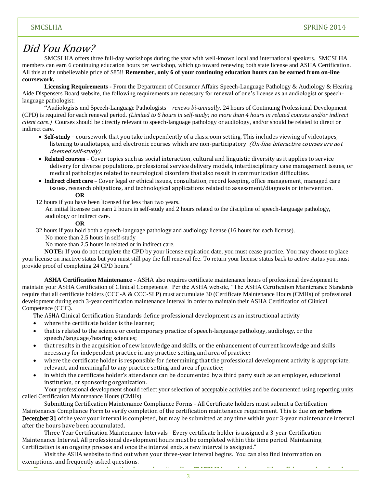#### Did You Know?

SMCSLHA offers three full-day workshops during the year with well-known local and international speakers. SMCSLHA members can earn 6 continuing education hours per workshop, which go toward renewing both state license and ASHA Certification. All this at the unbelievable price of \$85!! **Remember, only 6 of your continuing education hours can be earned from on-line coursework.**

**Licensing Requirements -** From the Department of Consumer Affairs Speech-Language Pathology & Audiology & Hearing Aide Dispensers Board website, the following requirements are necessary for renewal of one's license as an audiologist or speechlanguage pathologist:

"Audiologists and Speech-Language Pathologists – *renews bi-annually.* 24 hours of Continuing Professional Development (CPD) is required for each renewal period. *(Limited to 6 hours in self-study; no more than 4 hours in related courses and/or indirect client care.)*Courses should be directly relevant to speech-language pathology or audiology, and/or should be related to direct or indirect care.

- Self-study coursework that you take independently of a classroom setting. This includes viewing of videotapes, listening to audiotapes, and electronic courses which are non-participatory. (On-line interactive courses are not deemed self-study).
- Related courses Cover topics such as social interaction, cultural and linguistic diversity as it applies to service delivery for diverse populations, professional service delivery models, interdisciplinary case management issues, or medical pathologies related to neurological disorders that also result in communication difficulties.
- Indirect client care Cover legal or ethical issues, consultation, record keeping, office management, managed care issues, research obligations, and technological applications related to assessment/diagnosis or intervention. **OR**
- 12 hours if you have been licensed for less than two years.

An initial licensee can earn 2 hours in self-study and 2 hours related to the discipline of speech-language pathology, audiology or indirect care.

#### **OR**

32 hours if you hold both a speech-language pathology and audiology license (16 hours for each license).

No more than 2.5 hours in self-study

No more than 2.5 hours in related or in indirect care.

**NOTE:** If you do not complete the CPD by your license expiration date, you must cease practice. You may choose to place your license on inactive status but you must still pay the full renewal fee. To return your license status back to active status you must provide proof of completing 24 CPD hours."

**ASHA Certification Maintenance -** ASHA also requires certificate maintenance hours of professional development to maintain your ASHA Certification of Clinical Competence. Per the ASHA website, "The ASHA Certification Maintenance Standards require that all certificate holders (CCC-A & CCC-SLP) must accumulate 30 (Certificate Maintenance Hours (CMHs) of professional development during each 3-year certification maintenance interval in order to maintain their ASHA Certification of Clinical Competence (CCC).

The ASHA Clinical Certification Standards define professional development as an instructional activity

- where the certificate holder is the learner;
- that is related to the science or contemporary practice of speech-language pathology, audiology, or the speech/language/hearing sciences;
- that results in the acquisition of new knowledge and skills, or the enhancement of current knowledge and skills necessary for independent practice in any practice setting and area of practice;
- where the certificate holder is responsible for determining that the professional development activity is appropriate, relevant, and meaningful to any practice setting and area of practice;
- in which the certificate holder's attendance can be documented by a third party such as an employer, educational institution, or sponsoring organization.

Your professional development should reflect your selection of acceptable activities and be documented using reporting units called Certification Maintenance Hours (CMHs).

Submitting Certification Maintenance Compliance Forms - All Certificate holders must submit a Certification Maintenance Compliance Form to verify completion of the certification maintenance requirement. This is due on or before December 31 of the year your interval is completed, but may be submitted at any time within your 3-year maintenance interval after the hours have been accumulated.

Three-Year Certification Maintenance Intervals - Every certificate holder is assigned a 3-year Certification Maintenance Interval. All professional development hours must be completed within this time period. Maintaining Certification is an ongoing process and once the interval ends, a new interval is assigned."

Visit the ASHA website to find out when your three-year interval begins. You can also find information on exemptions, and frequently asked questions.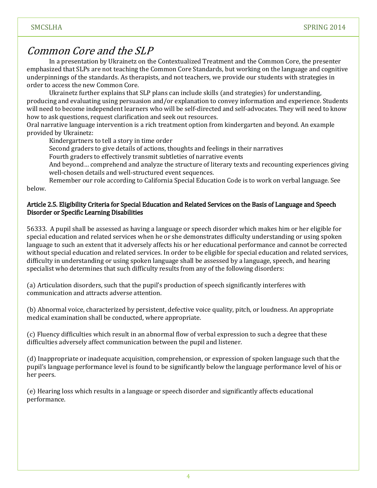#### Common Core and the SLP

In a presentation by Ukrainetz on the Contextualized Treatment and the Common Core, the presenter emphasized that SLPs are not teaching the Common Core Standards, but working on the language and cognitive underpinnings of the standards. As therapists, and not teachers, we provide our students with strategies in order to access the new Common Core.

Ukrainetz further explains that SLP plans can include skills (and strategies) for understanding, producing and evaluating using persuasion and/or explanation to convey information and experience. Students will need to become independent learners who will be self-directed and self-advocates. They will need to know how to ask questions, request clarification and seek out resources.

Oral narrative language intervention is a rich treatment option from kindergarten and beyond. An example provided by Ukrainetz:

Kindergartners to tell a story in time order

Second graders to give details of actions, thoughts and feelings in their narratives

Fourth graders to effectively transmit subtleties of narrative events

And beyond… comprehend and analyze the structure of literary texts and recounting experiences giving well-chosen details and well-structured event sequences.

Remember our role according to California Special Education Code is to work on verbal language. See below.

#### Article 2.5. Eligibility Criteria for Special Education and Related Services on the Basis of Language and Speech Disorder or Specific Learning Disabilities

56333. A pupil shall be assessed as having a language or speech disorder which makes him or her eligible for special education and related services when he or she demonstrates difficulty understanding or using spoken language to such an extent that it adversely affects his or her educational performance and cannot be corrected without special education and related services. In order to be eligible for special education and related services, difficulty in understanding or using spoken language shall be assessed by a language, speech, and hearing specialist who determines that such difficulty results from any of the following disorders:

(a) Articulation disorders, such that the pupil's production of speech significantly interferes with communication and attracts adverse attention.

(b) Abnormal voice, characterized by persistent, defective voice quality, pitch, or loudness. An appropriate medical examination shall be conducted, where appropriate.

(c) Fluency difficulties which result in an abnormal flow of verbal expression to such a degree that these difficulties adversely affect communication between the pupil and listener.

(d) Inappropriate or inadequate acquisition, comprehension, or expression of spoken language such that the pupil's language performance level is found to be significantly below the language performance level of his or her peers.

(e) Hearing loss which results in a language or speech disorder and significantly affects educational performance.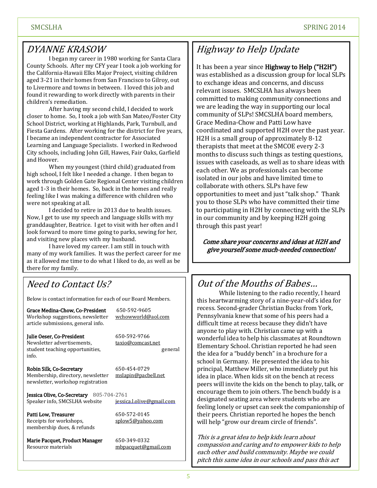#### DYANNE KRASOW

I began my career in 1980 working for Santa Clara County Schools. After my CFY year I took a job working for the California-Hawaii Elks Major Project, visiting children aged 3-21 in their homes from San Francisco to Gilroy, out to Livermore and towns in between. I loved this job and found it rewarding to work directly with parents in their children's remediation.

After having my second child, I decided to work closer to home. So, I took a job with San Mateo/Foster City School District, working at Highlands, Park, Turnbull, and Fiesta Gardens. After working for the district for five years, I became an independent contractor for Associated Learning and Language Specialists. I worked in Redwood City schools, including John Gill, Hawes, Fair Oaks, Garfield and Hoover.

When my youngest (third child) graduated from high school, I felt like I needed a change. I then began to work through Golden Gate Regional Center visiting children aged 1-3 in their homes. So, back in the homes and really feeling like I was making a difference with children who were not speaking at all.

I decided to retire in 2013 due to health issues. Now, I get to use my speech and language skills with my granddaughter, Beatrice. I get to visit with her often and I look forward to more time going to parks, sewing for her, and visiting new places with my husband.

I have loved my career. I am still in touch with many of my work families. It was the perfect career for me as it allowed me time to do what I liked to do, as well as be there for my family.

#### Need to Contact Us?

Below is contact information for each of our Board Members.

Grace Medina-Chow, Co-President 650-592-9605 Workshop suggestions, newsletter wchowworld@aol.com article submissions, general info.

Julie Oeser, Co-President 650-592-9766 Newsletter advertisements, taxio@comcast.net student teaching opportunities, example and the sense general info.

Robin Silk, Co-Secretary 650-454-0729 Membership, directory, newsletter mslapin@pacbell.net newsletter, workshop registration

Jessica Olive, Co-Secretary 805-704-2761 Speaker info, SMCSLHA website jessica.l.olive@gmail.com

Patti Low, Treasurer 650-572-0145 Receipts for workshops, splow5@yahoo.com membership dues, & refunds

Marie Pacquet, Product Manager 650-349-0332 Resource materials mbpacquet@gmail.com

## Highway to Help Update

It has been a year since Highway to Help ("H2H") was established as a discussion group for local SLPs to exchange ideas and concerns, and discuss relevant issues. SMCSLHA has always been committed to making community connections and we are leading the way in supporting our local community of SLPs! SMCSLHA board members, Grace Medina-Chow and Patti Low have coordinated and supported H2H over the past year. H2H is a small group of approximately 8-12 therapists that meet at the SMCOE every 2-3 months to discuss such things as testing questions, issues with caseloads, as well as to share ideas with each other. We as professionals can become isolated in our jobs and have limited time to collaborate with others. SLPs have few opportunities to meet and just "talk shop." Thank you to those SLPs who have committed their time to participating in H2H by connecting with the SLPs in our community and by keeping H2H going through this past year!

Come share your concerns and ideas at H2H and give yourself some much-needed connection!

#### Out of the Mouths of Babes… yourself some much needed connection!

While listening to the radio recently, I heard this heartwarming story of a nine-year-old's idea for recess. Second-grader Christian Bucks from York, Pennsylvania knew that some of his peers had a difficult time at recess because they didn't have anyone to play with. Christian came up with a wonderful idea to help his classmates at Roundtown Elementary School. Christian reported he had seen the idea for a "buddy bench" in a brochure for a school in Germany. He presented the idea to his principal, Matthew Miller, who immediately put his idea in place. When kids sit on the bench at recess peers will invite the kids on the bench to play, talk, or encourage them to join others. The bench buddy is a designated seating area where students who are feeling lonely or upset can seek the companionship of their peers. Christian reported he hopes the bench will help "grow our dream circle of friends".

This is a great idea to help kids learn about compassion and caring and to empower kids to help each other and build community. Maybe we could pitch this same idea in our schools and pass this act

of kindness on!